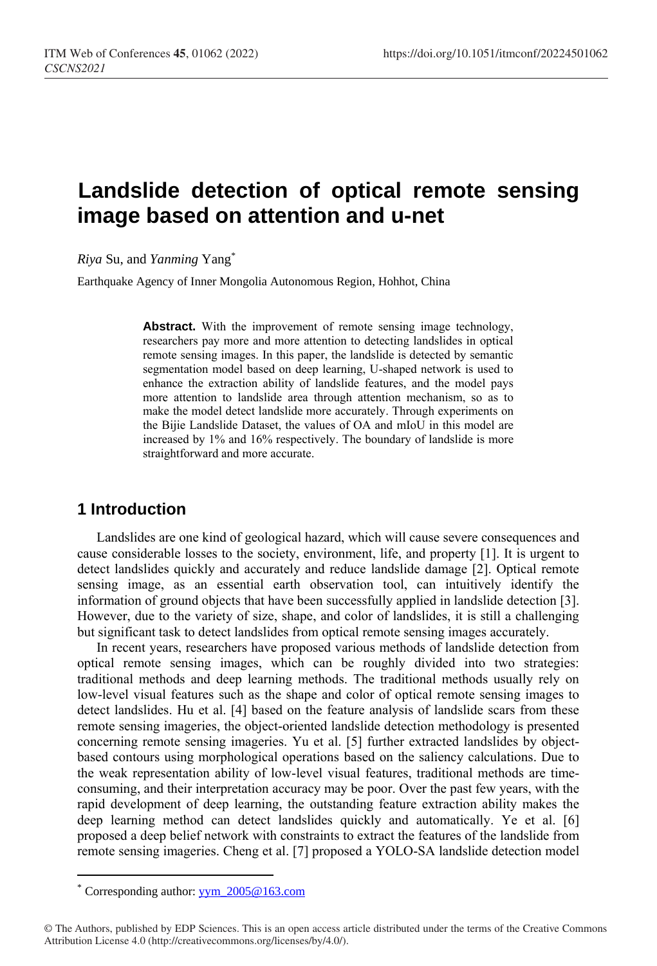# **Landslide detection of optical remote sensing image based on attention and u-net**

*Riya* Su, and *Yanming* Yang\*

Earthquake Agency of Inner Mongolia Autonomous Region, Hohhot, China

**Abstract.** With the improvement of remote sensing image technology, researchers pay more and more attention to detecting landslides in optical remote sensing images. In this paper, the landslide is detected by semantic segmentation model based on deep learning, U-shaped network is used to enhance the extraction ability of landslide features, and the model pays more attention to landslide area through attention mechanism, so as to make the model detect landslide more accurately. Through experiments on the Bijie Landslide Dataset, the values of OA and mIoU in this model are increased by 1% and 16% respectively. The boundary of landslide is more straightforward and more accurate.

# **1 Introduction**

Landslides are one kind of geological hazard, which will cause severe consequences and cause considerable losses to the society, environment, life, and property [\[1\]](#page-4-0). It is urgent to detect landslides quickly and accurately and reduce landslide damage [\[2\]](#page-4-1). Optical remote sensing image, as an essential earth observation tool, can intuitively identify the information of ground objects that have been successfully applied in landslide detection [\[3\]](#page-4-2). However, due to the variety of size, shape, and color of landslides, it is still a challenging but significant task to detect landslides from optical remote sensing images accurately.

In recent years, researchers have proposed various methods of landslide detection from optical remote sensing images, which can be roughly divided into two strategies: traditional methods and deep learning methods. The traditional methods usually rely on low-level visual features such as the shape and color of optical remote sensing images to detect landslides. Hu et al. [\[4\]](#page-4-3) based on the feature analysis of landslide scars from these remote sensing imageries, the object-oriented landslide detection methodology is presented concerning remote sensing imageries. Yu et al. [\[5\]](#page-4-4) further extracted landslides by objectbased contours using morphological operations based on the saliency calculations. Due to the weak representation ability of low-level visual features, traditional methods are timeconsuming, and their interpretation accuracy may be poor. Over the past few years, with the rapid development of deep learning, the outstanding feature extraction ability makes the deep learning method can detect landslides quickly and automatically. Ye et al. [\[6\]](#page-4-5) proposed a deep belief network with constraints to extract the features of the landslide from remote sensing imageries. Cheng et al. [\[7\]](#page-4-6) proposed a YOLO-SA landslide detection model

 $\overline{a}$ 

Corresponding author:  $yym$  2005@163.com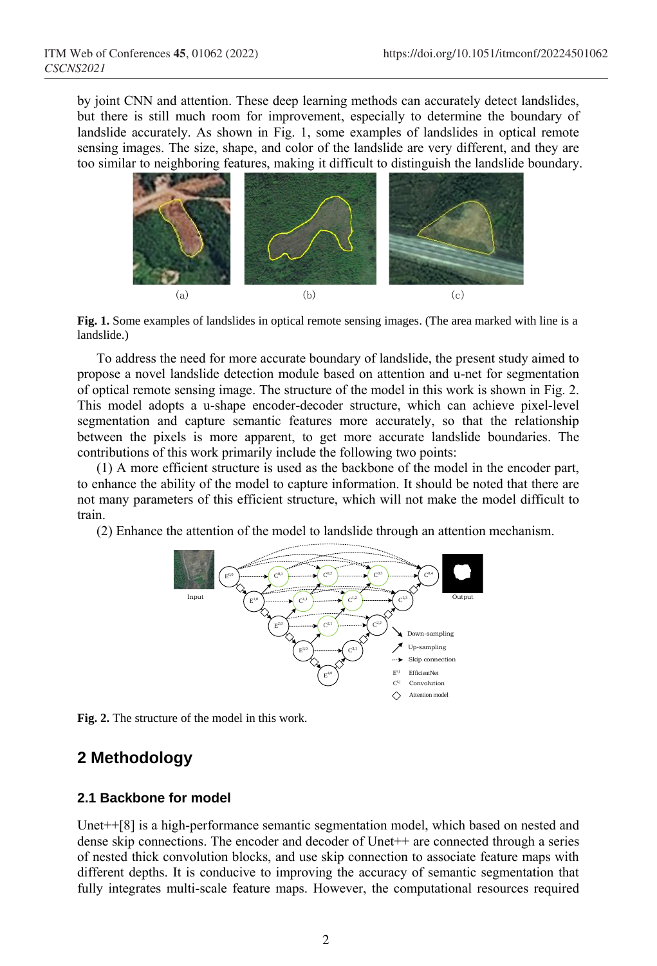by joint CNN and attention. These deep learning methods can accurately detect landslides, but there is still much room for improvement, especially to determine the boundary of landslide accurately. As shown in Fig. 1, some examples of landslides in optical remote sensing images. The size, shape, and color of the landslide are very different, and they are too similar to neighboring features, making it difficult to distinguish the landslide boundary.



**Fig. 1.** Some examples of landslides in optical remote sensing images. (The area marked with line is a landslide.)

To address the need for more accurate boundary of landslide, the present study aimed to propose a novel landslide detection module based on attention and u-net for segmentation of optical remote sensing image. The structure of the model in this work is shown in Fig. 2. This model adopts a u-shape encoder-decoder structure, which can achieve pixel-level segmentation and capture semantic features more accurately, so that the relationship between the pixels is more apparent, to get more accurate landslide boundaries. The contributions of this work primarily include the following two points:

(1) A more efficient structure is used as the backbone of the model in the encoder part, to enhance the ability of the model to capture information. It should be noted that there are not many parameters of this efficient structure, which will not make the model difficult to train.

(2) Enhance the attention of the model to landslide through an attention mechanism.



**Fig. 2.** The structure of the model in this work.

## **2 Methodology**

#### **2.1 Backbone for model**

Unet++[\[8\]](#page-4-7) is a high-performance semantic segmentation model, which based on nested and dense skip connections. The encoder and decoder of Unet++ are connected through a series of nested thick convolution blocks, and use skip connection to associate feature maps with different depths. It is conducive to improving the accuracy of semantic segmentation that fully integrates multi-scale feature maps. However, the computational resources required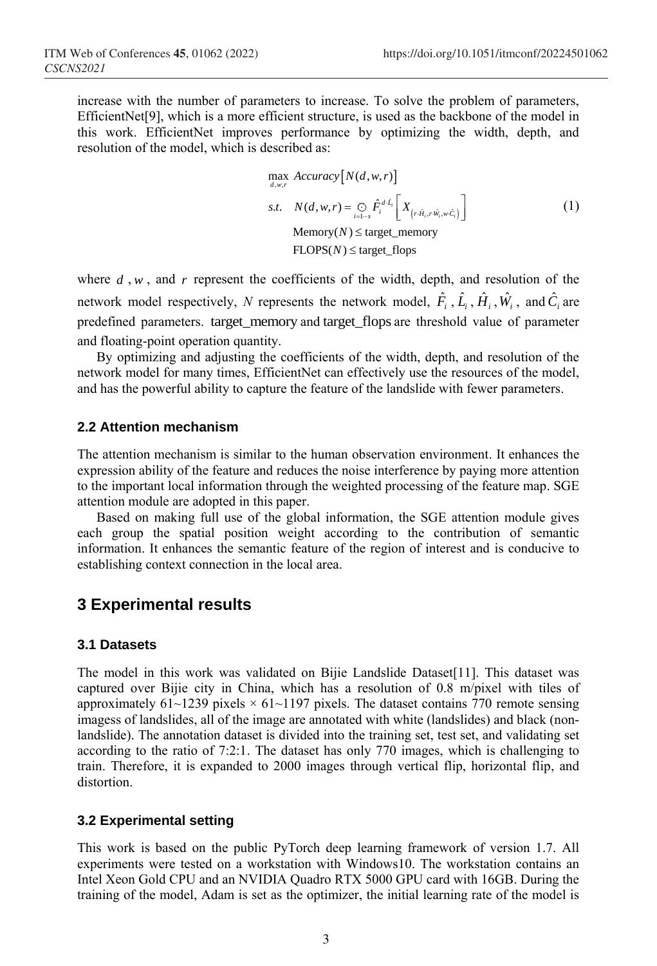increase with the number of parameters to increase. To solve the problem of parameters, EfficientNet[\[9\]](#page-4-8), which is a more efficient structure, is used as the backbone of the model in this work. EfficientNet improves performance by optimizing the width, depth, and resolution of the model, which is described as:

max<sub>d,w,r</sub> Accuracy[N(d, w, r)]  
s.t. 
$$
N(d, w, r) = \bigoplus_{i=1-s} \hat{F}_i^{d \cdot \hat{L}_i} \left[ X_{(r \cdot \hat{H}_i, r \cdot \hat{W}_i, w \cdot \hat{C}_i)} \right]
$$
  
Memory(N)  $\leq$  target\_memory  
FLOPS(N)  $\leq$  target\_flops

where  $d$ ,  $w$ , and  $r$  represent the coefficients of the width, depth, and resolution of the network model respectively, N represents the network model,  $\hat{F}_i$ ,  $\hat{L}_i$ ,  $\hat{H}_i$ ,  $\hat{W}_i$ , and  $\hat{C}_i$  are predefined parameters. target\_memory and target\_flops are threshold value of parameter and floating-point operation quantity.

By optimizing and adjusting the coefficients of the width, depth, and resolution of the network model for many times, EfficientNet can effectively use the resources of the model, and has the powerful ability to capture the feature of the landslide with fewer parameters.

#### **2.2 Attention mechanism**

The attention mechanism is similar to the human observation environment. It enhances the expression ability of the feature and reduces the noise interference by paying more attention to the important local information through the weighted processing of the feature map. SGE attention module are adopted in this paper.

Based on making full use of the global information, the SGE attention module gives each group the spatial position weight according to the contribution of semantic information. It enhances the semantic feature of the region of interest and is conducive to establishing context connection in the local area.

## **3 Experimental results**

#### **3.1 Datasets**

The model in this work was validated on Bijie Landslide Dataset[\[11\]](#page-4-9). This dataset was captured over Bijie city in China, which has a resolution of 0.8 m/pixel with tiles of approximately  $61$ ~1239 pixels  $\times$  61~1197 pixels. The dataset contains 770 remote sensing imagess of landslides, all of the image are annotated with white (landslides) and black (nonlandslide). The annotation dataset is divided into the training set, test set, and validating set according to the ratio of 7:2:1. The dataset has only 770 images, which is challenging to train. Therefore, it is expanded to 2000 images through vertical flip, horizontal flip, and distortion.

#### **3.2 Experimental setting**

This work is based on the public PyTorch deep learning framework of version 1.7. All experiments were tested on a workstation with Windows10. The workstation contains an Intel Xeon Gold CPU and an NVIDIA Quadro RTX 5000 GPU card with 16GB. During the training of the model, Adam is set as the optimizer, the initial learning rate of the model is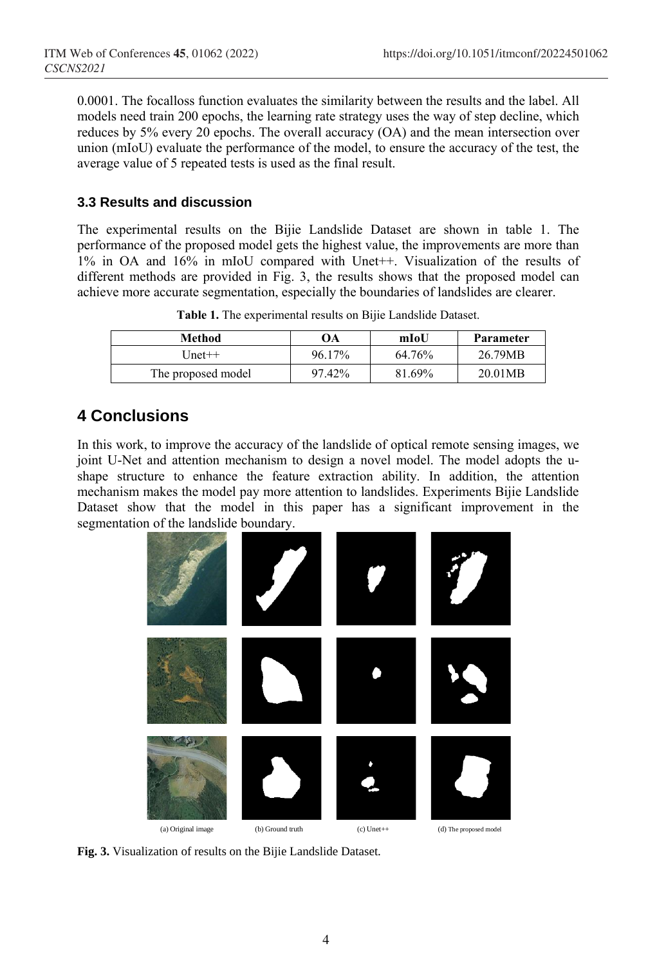0.0001. The focalloss function evaluates the similarity between the results and the label. All models need train 200 epochs, the learning rate strategy uses the way of step decline, which reduces by 5% every 20 epochs. The overall accuracy (OA) and the mean intersection over union (mIoU) evaluate the performance of the model, to ensure the accuracy of the test, the average value of 5 repeated tests is used as the final result.

#### **3.3 Results and discussion**

The experimental results on the Bijie Landslide Dataset are shown in table 1. The performance of the proposed model gets the highest value, the improvements are more than 1% in OA and 16% in mIoU compared with Unet++. Visualization of the results of different methods are provided in Fig. 3, the results shows that the proposed model can achieve more accurate segmentation, especially the boundaries of landslides are clearer.

| Method             | ЭA     | mIoU   | Parameter |
|--------------------|--------|--------|-----------|
| [Jnet++            | 96.17% | 64.76% | 26.79MB   |
| The proposed model | 97.42% | 81.69% | 20.01MB   |

**Table 1.** The experimental results on Bijie Landslide Dataset.

# **4 Conclusions**

In this work, to improve the accuracy of the landslide of optical remote sensing images, we joint U-Net and attention mechanism to design a novel model. The model adopts the ushape structure to enhance the feature extraction ability. In addition, the attention mechanism makes the model pay more attention to landslides. Experiments Bijie Landslide Dataset show that the model in this paper has a significant improvement in the segmentation of the landslide boundary.



**Fig. 3.** Visualization of results on the Bijie Landslide Dataset.